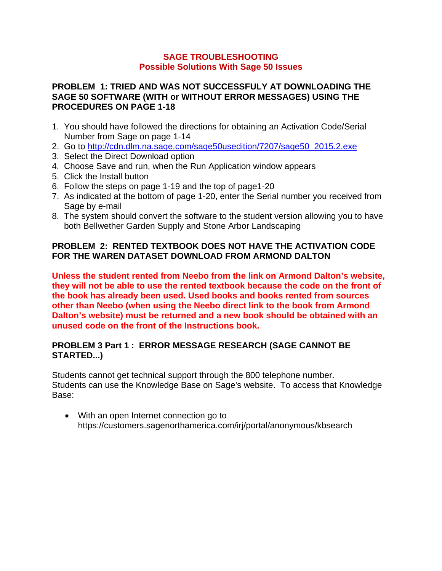#### **SAGE TROUBLESHOOTING Possible Solutions With Sage 50 Issues**

#### **PROBLEM 1: TRIED AND WAS NOT SUCCESSFULY AT DOWNLOADING THE SAGE 50 SOFTWARE (WITH or WITHOUT ERROR MESSAGES) USING THE PROCEDURES ON PAGE 1-18**

- 1. You should have followed the directions for obtaining an Activation Code/Serial Number from Sage on page 1-14
- 2. Go to http://cdn.dlm.na.sage.com/sage50usedition/7207/sage50\_2015.2.exe
- 3. Select the Direct Download option
- 4. Choose Save and run, when the Run Application window appears
- 5. Click the Install button
- 6. Follow the steps on page 1-19 and the top of page1-20
- 7. As indicated at the bottom of page 1-20, enter the Serial number you received from Sage by e-mail
- 8. The system should convert the software to the student version allowing you to have both Bellwether Garden Supply and Stone Arbor Landscaping

# **PROBLEM 2: RENTED TEXTBOOK DOES NOT HAVE THE ACTIVATION CODE FOR THE WAREN DATASET DOWNLOAD FROM ARMOND DALTON**

**Unless the student rented from Neebo from the link on Armond Dalton's website, they will not be able to use the rented textbook because the code on the front of the book has already been used. Used books and books rented from sources other than Neebo (when using the Neebo direct link to the book from Armond Dalton's website) must be returned and a new book should be obtained with an unused code on the front of the Instructions book.** 

### **PROBLEM 3 Part 1 : ERROR MESSAGE RESEARCH (SAGE CANNOT BE STARTED...)**

Students cannot get technical support through the 800 telephone number. Students can use the Knowledge Base on Sage's website. To access that Knowledge Base:

 With an open Internet connection go to https://customers.sagenorthamerica.com/irj/portal/anonymous/kbsearch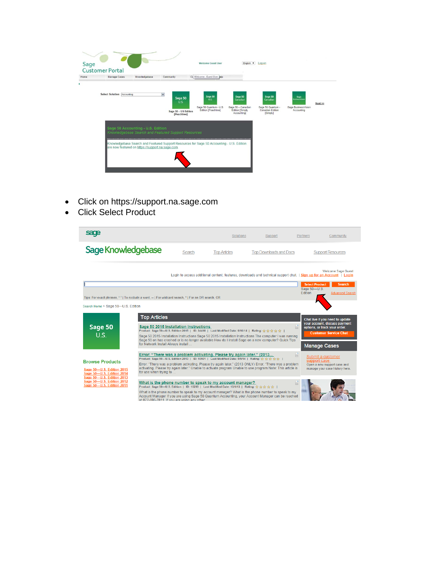| Sage<br>Home | <b>Customer Portal</b><br>Manage Cases                                                | Knowledgebase<br>Community                                                                                                                       | <b>Welcome Guest User</b><br>Cd Welcome Guest User Jolp          | English <b>v</b>                                                                   | Log on                                                                          |                                                                   |      |
|--------------|---------------------------------------------------------------------------------------|--------------------------------------------------------------------------------------------------------------------------------------------------|------------------------------------------------------------------|------------------------------------------------------------------------------------|---------------------------------------------------------------------------------|-------------------------------------------------------------------|------|
|              | Select Solution Accounting                                                            | $\overline{\phantom{0}}$<br>Sage 50<br>U.S.<br>Sage 50 - US Edition<br>[Peachtree]                                                               | Sage 50<br>U.S.<br>Sage 50 Quantum - U.S.<br>Edition [Peachtree] | Sage 50<br>Canadian<br>Sage 50 - Canadian<br><b>Edition [Simply</b><br>Accounting1 | Sage 50<br>Canadian<br>Sage 50 Quantum -<br>Canadian Edition<br><b>[Simply]</b> | Sage<br><b>BusinessVisio</b><br>Sage BusinessVision<br>Accounting | Next |
|              | Sage 50 Accounting - U.S. Edition<br>are now featured on https://support.na.sage.com. | Knowledgebase Search and Featured Support Resources<br>Knowledgebase Search and Featured Support Resources for Sage 50 Accounting - U.S. Edition |                                                                  |                                                                                    |                                                                                 |                                                                   |      |
|              |                                                                                       |                                                                                                                                                  |                                                                  |                                                                                    |                                                                                 |                                                                   |      |

- Click on https://support.na.sage.com
- Click Select Product

| sage                                                                                                |                                                                                                                                                                                                                                                                                                                                                                                     |                                                                                                                                        | <b>Solutions</b>                                                                                                                                                    | Support                                                                                                                                                                                                                 | Community<br><b>Partners</b>                                                                                                                                                                |
|-----------------------------------------------------------------------------------------------------|-------------------------------------------------------------------------------------------------------------------------------------------------------------------------------------------------------------------------------------------------------------------------------------------------------------------------------------------------------------------------------------|----------------------------------------------------------------------------------------------------------------------------------------|---------------------------------------------------------------------------------------------------------------------------------------------------------------------|-------------------------------------------------------------------------------------------------------------------------------------------------------------------------------------------------------------------------|---------------------------------------------------------------------------------------------------------------------------------------------------------------------------------------------|
| Sage Knowledgebase                                                                                  |                                                                                                                                                                                                                                                                                                                                                                                     | Search                                                                                                                                 | <b>Top Articles</b>                                                                                                                                                 | <b>Top Downloads and Docs</b>                                                                                                                                                                                           | <b>Support Resources</b>                                                                                                                                                                    |
|                                                                                                     |                                                                                                                                                                                                                                                                                                                                                                                     |                                                                                                                                        |                                                                                                                                                                     |                                                                                                                                                                                                                         | <b>Welcome Sage Guest</b><br>Login to access additional content, features, downloads and technical support chat.   Sign up for an Account   Login<br><b>Select Product</b><br><b>Search</b> |
| Tips: For exact phrases, ""   To exclude a word, --   For wildcard search, *   For an OR search, OR |                                                                                                                                                                                                                                                                                                                                                                                     |                                                                                                                                        |                                                                                                                                                                     |                                                                                                                                                                                                                         | Sage 50-U.S.<br>Edition<br><b>Advanced Search</b>                                                                                                                                           |
| Search Home > Sage 50-U.S. Edition                                                                  |                                                                                                                                                                                                                                                                                                                                                                                     |                                                                                                                                        |                                                                                                                                                                     |                                                                                                                                                                                                                         |                                                                                                                                                                                             |
| Sage 50<br>U.S.                                                                                     | <b>Top Articles</b><br>Sage 50 2015 Installation Instructions<br>Product: Sage 50-10.S. Edition 2015   ID: 34418   Last Modified Date: 6/10/14   Rating: 습습습台  <br>Sage 50 2015 Installation Instructions Sage 50 2015 Installation Instructions The computer I was running<br>Sage 50 on has crashed or is no longer available How do I install Sage on a new computer? Quick Tips | Chat live if you need to update<br>your account, discuss payment<br>H<br>options, or track your order.<br><b>Customer Service Chat</b> |                                                                                                                                                                     |                                                                                                                                                                                                                         |                                                                                                                                                                                             |
|                                                                                                     | for Network Install Always install                                                                                                                                                                                                                                                                                                                                                  | <b>Manage Cases</b>                                                                                                                    |                                                                                                                                                                     |                                                                                                                                                                                                                         |                                                                                                                                                                                             |
| <b>Browse Products</b><br>Sage 50-U.S. Edition 2015<br>Sage 50-U.S. Edition 2014                    | for use when trying to                                                                                                                                                                                                                                                                                                                                                              |                                                                                                                                        | Error: "There was a problem activating. Please try again later." (2013<br>Product: Sage 50-0.5. Edition 2013   ID: 10501   Last Modified Date: 5/5/14   Rating: 春春春 | Error: "There was a problem activating. Please try again later." (2013 ONLY) Error: "There was a problem<br>activating. Please try again later." Unable to activate program Unable to use program Note: This article is | n<br>Submit a customer<br>support case<br>Open a new support case and<br>manage your case history here.                                                                                     |
| Sage 50-U.S. Edition 2013<br>Sage 50-U.S. Edition 2012<br>Sage 50-U.S. Edition 2011                 | at 877-696-7811. If you are using any other                                                                                                                                                                                                                                                                                                                                         |                                                                                                                                        | What is the phone number to speak to my account manager?<br>Product: Sage 50-U.S. Edition   ID: 10299   Last Modified Date: 10/1/13   Rating: 습습습台                  | What is the phone number to speak to my account manager? What is the phone number to speak to my<br>Account Manager If you are using Sage 50 Quantum Accounting, your Account Manager can be reached                    |                                                                                                                                                                                             |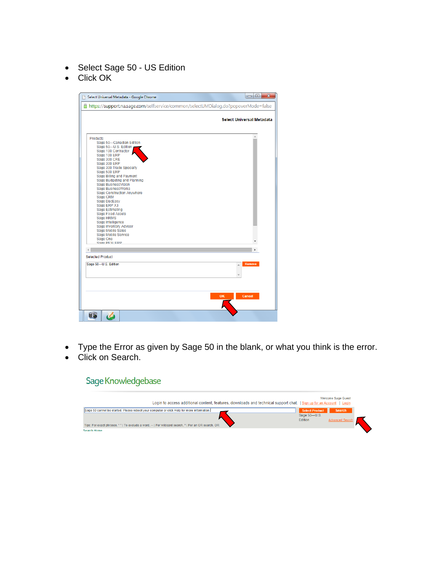- Select Sage 50 US Edition
- Click OK

| Select Universal Metadata - Google Chrome                                                                                                                                                                                                                                                                                                                                                                                                                                                                                                                                       | $\mathbf{x}$<br>$-10$     |
|---------------------------------------------------------------------------------------------------------------------------------------------------------------------------------------------------------------------------------------------------------------------------------------------------------------------------------------------------------------------------------------------------------------------------------------------------------------------------------------------------------------------------------------------------------------------------------|---------------------------|
| https://support.na.saqe.com/selfservice/common/selectUMDialog.do?popoverMode=false                                                                                                                                                                                                                                                                                                                                                                                                                                                                                              |                           |
|                                                                                                                                                                                                                                                                                                                                                                                                                                                                                                                                                                                 | Select Universal Metadata |
| Products<br>Sage 50-Canadian Edition<br>Sage 50-U.S. Edition<br>Sage 100 Contractor<br>Sage 100 ERP<br>Sage 300 CRE<br>Sage 300 ERP<br>Sage 300 Trade Specialty<br>Sage 500 ERP<br>Sage Billing and Payment<br>Sage Budgeting and Planning<br>Sage BusinessVision<br><b>Sage BusinessWorks</b><br><b>Sage Construction Anywhere</b><br>Sage CRM<br><b>Sage DacEasy</b><br>Sage ERP X3<br><b>Sage Estimating</b><br><b>Sage Fixed Assets</b><br>Sage HRMS<br>Sage Intelligence<br>Sage Inventory Advisor<br>Sage Mobile Sales<br>Sage Mobile Service<br>Sage One<br>Sane PFW FRP |                           |
| <b>Selected Product</b>                                                                                                                                                                                                                                                                                                                                                                                                                                                                                                                                                         |                           |
| Sage 50-U.S. Edition                                                                                                                                                                                                                                                                                                                                                                                                                                                                                                                                                            | <b>Remove</b>             |
|                                                                                                                                                                                                                                                                                                                                                                                                                                                                                                                                                                                 | Cancel<br>OK              |
|                                                                                                                                                                                                                                                                                                                                                                                                                                                                                                                                                                                 |                           |

- Type the Error as given by Sage 50 in the blank, or what you think is the error.
- Click on Search.

# Sage Knowledgebase

| Login to access additional content, features, downloads and technical support chat.   Sign up for an Account   Login |                         | <b>Welcome Sage Guest</b> |  |
|----------------------------------------------------------------------------------------------------------------------|-------------------------|---------------------------|--|
| Sage 50 cannot be started. Please reboot your computer or click Help for more information.                           | <b>Select Product</b>   | <b>Search</b>             |  |
| Tips: For exact phrases, ""   To exclude a word, --   For wildcard search, *   For an OR search, OR                  | Sage 50-U.S.<br>Edition | <b>Advanced Search</b>    |  |
| Search Home                                                                                                          |                         |                           |  |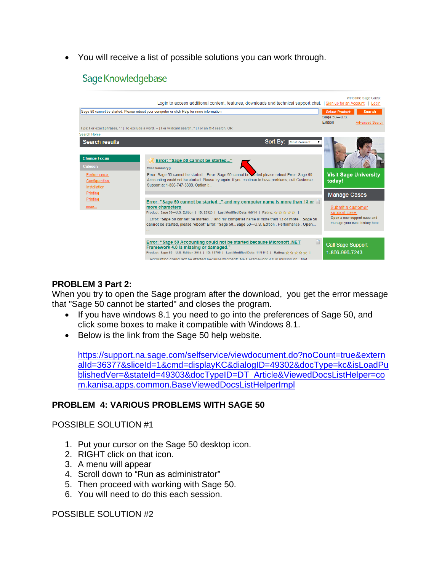You will receive a list of possible solutions you can work through.

# Sage Knowledgebase



#### **PROBLEM 3 Part 2:**

When you try to open the Sage program after the download, you get the error message that "Sage 50 cannot be started" and closes the program.

- If you have windows 8.1 you need to go into the preferences of Sage 50, and click some boxes to make it compatible with Windows 8.1.
- Below is the link from the Sage 50 help website.

https://support.na.sage.com/selfservice/viewdocument.do?noCount=true&extern alId=36377&sliceId=1&cmd=displayKC&dialogID=49302&docType=kc&isLoadPu blishedVer=&stateId=49303&docTypeID=DT\_Article&ViewedDocsListHelper=co m.kanisa.apps.common.BaseViewedDocsListHelperImpl

#### **PROBLEM 4: VARIOUS PROBLEMS WITH SAGE 50**

#### POSSIBLE SOLUTION #1

- 1. Put your cursor on the Sage 50 desktop icon.
- 2. RIGHT click on that icon.
- 3. A menu will appear
- 4. Scroll down to "Run as administrator"
- 5. Then proceed with working with Sage 50.
- 6. You will need to do this each session.

POSSIBLE SOLUTION #2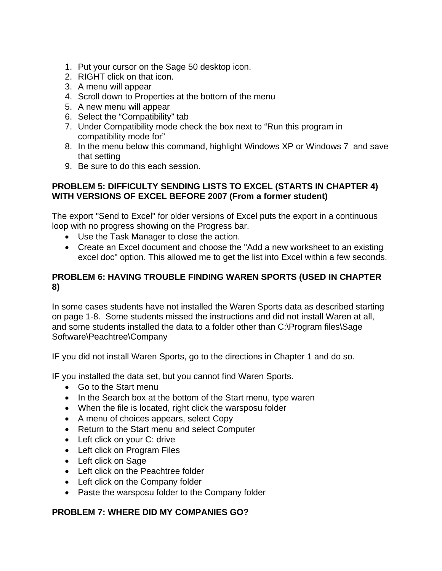- 1. Put your cursor on the Sage 50 desktop icon.
- 2. RIGHT click on that icon.
- 3. A menu will appear
- 4. Scroll down to Properties at the bottom of the menu
- 5. A new menu will appear
- 6. Select the "Compatibility" tab
- 7. Under Compatibility mode check the box next to "Run this program in compatibility mode for"
- 8. In the menu below this command, highlight Windows XP or Windows 7 and save that setting
- 9. Be sure to do this each session.

#### **PROBLEM 5: DIFFICULTY SENDING LISTS TO EXCEL (STARTS IN CHAPTER 4) WITH VERSIONS OF EXCEL BEFORE 2007 (From a former student)**

The export "Send to Excel" for older versions of Excel puts the export in a continuous loop with no progress showing on the Progress bar.

- Use the Task Manager to close the action.
- Create an Excel document and choose the "Add a new worksheet to an existing excel doc" option. This allowed me to get the list into Excel within a few seconds.

# **PROBLEM 6: HAVING TROUBLE FINDING WAREN SPORTS (USED IN CHAPTER 8)**

In some cases students have not installed the Waren Sports data as described starting on page 1-8. Some students missed the instructions and did not install Waren at all, and some students installed the data to a folder other than C:\Program files\Sage Software\Peachtree\Company

IF you did not install Waren Sports, go to the directions in Chapter 1 and do so.

IF you installed the data set, but you cannot find Waren Sports.

- Go to the Start menu
- In the Search box at the bottom of the Start menu, type waren
- When the file is located, right click the warsposu folder
- A menu of choices appears, select Copy
- Return to the Start menu and select Computer
- Left click on your C: drive
- Left click on Program Files
- Left click on Sage
- Left click on the Peachtree folder
- Left click on the Company folder
- Paste the warsposu folder to the Company folder

#### **PROBLEM 7: WHERE DID MY COMPANIES GO?**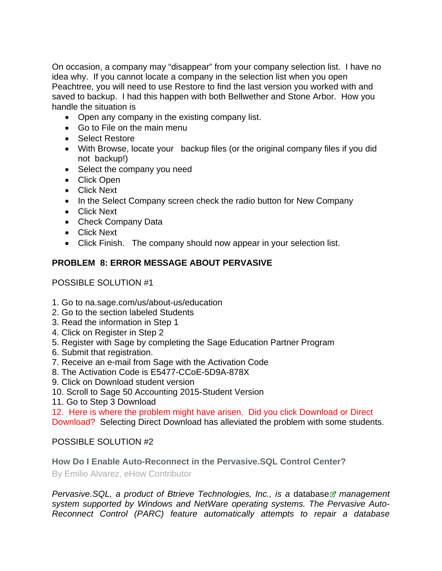On occasion, a company may "disappear" from your company selection list. I have no idea why. If you cannot locate a company in the selection list when you open Peachtree, you will need to use Restore to find the last version you worked with and saved to backup. I had this happen with both Bellwether and Stone Arbor. How you handle the situation is

- Open any company in the existing company list.
- Go to File on the main menu
- Select Restore
- With Browse, locate your backup files (or the original company files if you did not backup!)
- Select the company you need
- Click Open
- Click Next
- In the Select Company screen check the radio button for New Company
- Click Next
- Check Company Data
- Click Next
- Click Finish. The company should now appear in your selection list.

# **PROBLEM 8: ERROR MESSAGE ABOUT PERVASIVE**

POSSIBLE SOLUTION #1

- 1. Go to na.sage.com/us/about-us/education
- 2. Go to the section labeled Students
- 3. Read the information in Step 1
- 4. Click on Register in Step 2
- 5. Register with Sage by completing the Sage Education Partner Program
- 6. Submit that registration.
- 7. Receive an e-mail from Sage with the Activation Code
- 8. The Activation Code is E5477-CCoE-5D9A-878X
- 9. Click on Download student version
- 10. Scroll to Sage 50 Accounting 2015-Student Version
- 11. Go to Step 3 Download

12. Here is where the problem might have arisen. Did you click Download or Direct

Download? Selecting Direct Download has alleviated the problem with some students.

# POSSIBLE SOLUTION #2

**How Do I Enable Auto-Reconnect in the Pervasive.SQL Control Center?** 

By Emilio Alvarez, eHow Contributor

*Pervasive.SQL, a product of Btrieve Technologies, Inc., is a database management system supported by Windows and NetWare operating systems. The Pervasive Auto-Reconnect Control (PARC) feature automatically attempts to repair a database*